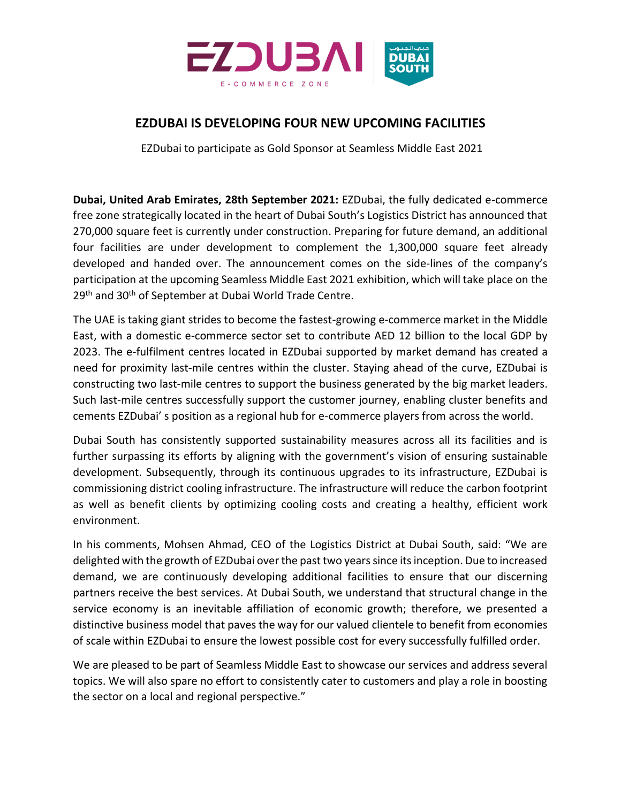

## **EZDUBAI IS DEVELOPING FOUR NEW UPCOMING FACILITIES**

EZDubai to participate as Gold Sponsor at Seamless Middle East 2021

**Dubai, United Arab Emirates, 28th September 2021:** EZDubai, the fully dedicated e-commerce free zone strategically located in the heart of Dubai South's Logistics District has announced that 270,000 square feet is currently under construction. Preparing for future demand, an additional four facilities are under development to complement the 1,300,000 square feet already developed and handed over. The announcement comes on the side-lines of the company's participation at the upcoming Seamless Middle East 2021 exhibition, which will take place on the 29<sup>th</sup> and 30<sup>th</sup> of September at Dubai World Trade Centre.

The UAE is taking giant strides to become the fastest-growing e-commerce market in the Middle East, with a domestic e-commerce sector set to contribute AED 12 billion to the local GDP by 2023. The e-fulfilment centres located in EZDubai supported by market demand has created a need for proximity last-mile centres within the cluster. Staying ahead of the curve, EZDubai is constructing two last-mile centres to support the business generated by the big market leaders. Such last-mile centres successfully support the customer journey, enabling cluster benefits and cements EZDubai' s position as a regional hub for e-commerce players from across the world.

Dubai South has consistently supported sustainability measures across all its facilities and is further surpassing its efforts by aligning with the government's vision of ensuring sustainable development. Subsequently, through its continuous upgrades to its infrastructure, EZDubai is commissioning district cooling infrastructure. The infrastructure will reduce the carbon footprint as well as benefit clients by optimizing cooling costs and creating a healthy, efficient work environment.

In his comments, Mohsen Ahmad, CEO of the Logistics District at Dubai South, said: "We are delighted with the growth of EZDubai over the past two years since its inception. Due to increased demand, we are continuously developing additional facilities to ensure that our discerning partners receive the best services. At Dubai South, we understand that structural change in the service economy is an inevitable affiliation of economic growth; therefore, we presented a distinctive business model that paves the way for our valued clientele to benefit from economies of scale within EZDubai to ensure the lowest possible cost for every successfully fulfilled order.

We are pleased to be part of Seamless Middle East to showcase our services and address several topics. We will also spare no effort to consistently cater to customers and play a role in boosting the sector on a local and regional perspective."